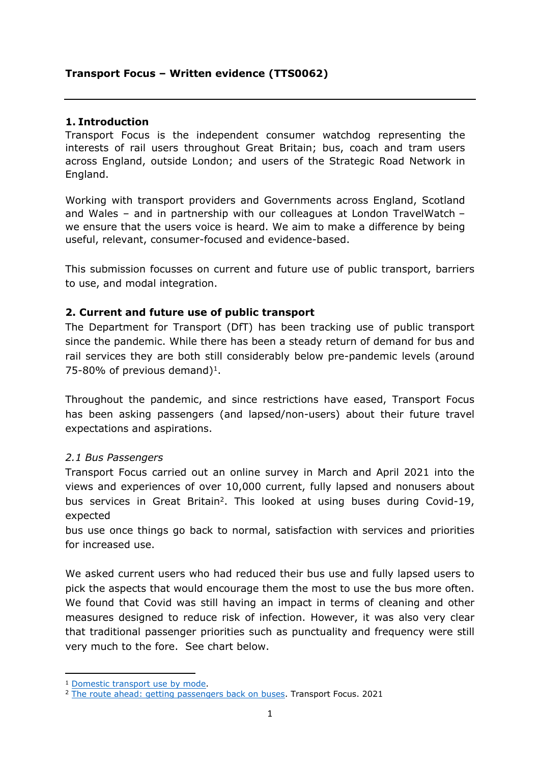#### **1. Introduction**

Transport Focus is the independent consumer watchdog representing the interests of rail users throughout Great Britain; bus, coach and tram users across England, outside London; and users of the Strategic Road Network in England.

Working with transport providers and Governments across England, Scotland and Wales – and in partnership with our colleagues at London TravelWatch – we ensure that the users voice is heard. We aim to make a difference by being useful, relevant, consumer-focused and evidence-based.

This submission focusses on current and future use of public transport, barriers to use, and modal integration.

#### **2. Current and future use of public transport**

The Department for Transport (DfT) has been tracking use of public transport since the pandemic. While there has been a steady return of demand for bus and rail services they are both still considerably below pre-pandemic levels (around 75-80% of previous demand) $1$ .

Throughout the pandemic, and since restrictions have eased, Transport Focus has been asking passengers (and lapsed/non-users) about their future travel expectations and aspirations.

#### *2.1 Bus Passengers*

Transport Focus carried out an online survey in March and April 2021 into the views and experiences of over 10,000 current, fully lapsed and nonusers about bus services in Great Britain<sup>2</sup>. This looked at using buses during Covid-19, expected

bus use once things go back to normal, satisfaction with services and priorities for increased use.

We asked current users who had reduced their bus use and fully lapsed users to pick the aspects that would encourage them the most to use the bus more often. We found that Covid was still having an impact in terms of cleaning and other measures designed to reduce risk of infection. However, it was also very clear that traditional passenger priorities such as punctuality and frequency were still very much to the fore. See chart below.

<sup>&</sup>lt;sup>1</sup> [Domestic](https://www.gov.uk/government/statistics/transport-use-during-the-coronavirus-covid-19-pandemic) [transport](https://www.gov.uk/government/statistics/transport-use-during-the-coronavirus-covid-19-pandemic) [use](https://www.gov.uk/government/statistics/transport-use-during-the-coronavirus-covid-19-pandemic) [by](https://www.gov.uk/government/statistics/transport-use-during-the-coronavirus-covid-19-pandemic) [mode](https://www.gov.uk/government/statistics/transport-use-during-the-coronavirus-covid-19-pandemic).

<sup>&</sup>lt;sup>2</sup> [The](https://www.transportfocus.org.uk/publication/the-route-ahead-getting-passengers-back-on-buses-2/) [route](https://www.transportfocus.org.uk/publication/the-route-ahead-getting-passengers-back-on-buses-2/) [ahead:](https://www.transportfocus.org.uk/publication/the-route-ahead-getting-passengers-back-on-buses-2/) [getting](https://www.transportfocus.org.uk/publication/the-route-ahead-getting-passengers-back-on-buses-2/) [passengers](https://www.transportfocus.org.uk/publication/the-route-ahead-getting-passengers-back-on-buses-2/) [back](https://www.transportfocus.org.uk/publication/the-route-ahead-getting-passengers-back-on-buses-2/) [on](https://www.transportfocus.org.uk/publication/the-route-ahead-getting-passengers-back-on-buses-2/) [buses](https://www.transportfocus.org.uk/publication/the-route-ahead-getting-passengers-back-on-buses-2/). Transport Focus. 2021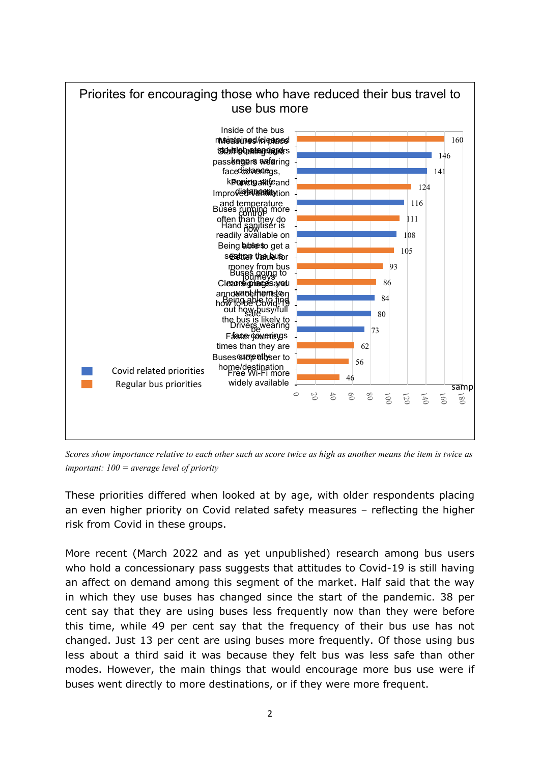

Scores show importance relative to each other such as score twice as high as another means the item is twice as *important: 100 = average level of priority*

These priorities differed when looked at by age, with older respondents placing an even higher priority on Covid related safety measures – reflecting the higher risk from Covid in these groups.

More recent (March 2022 and as yet unpublished) research among bus users who hold a concessionary pass suggests that attitudes to Covid-19 is still having an affect on demand among this segment of the market. Half said that the way in which they use buses has changed since the start of the pandemic. 38 per cent say that they are using buses less frequently now than they were before this time, while 49 per cent say that the frequency of their bus use has not changed. Just 13 per cent are using buses more frequently. Of those using bus less about a third said it was because they felt bus was less safe than other modes. However, the main things that would encourage more bus use were if buses went directly to more destinations, or if they were more frequent.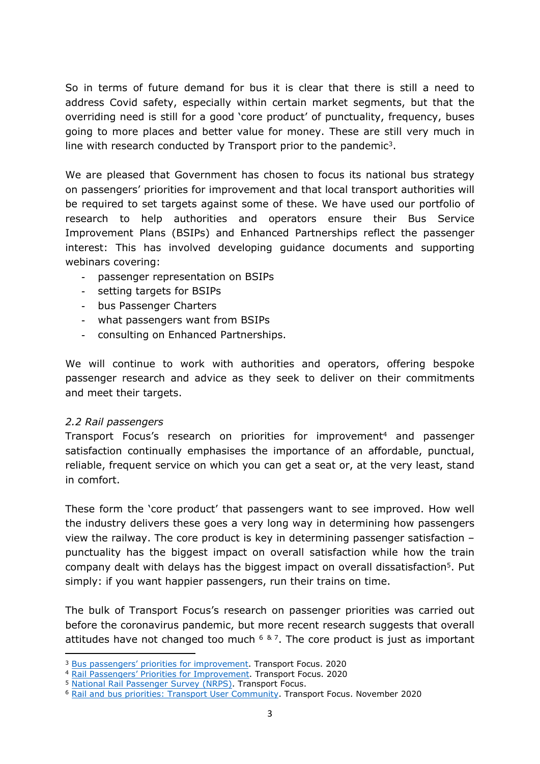So in terms of future demand for bus it is clear that there is still a need to address Covid safety, especially within certain market segments, but that the overriding need is still for a good 'core product' of punctuality, frequency, buses going to more places and better value for money. These are still very much in line with research conducted by Transport prior to the pandemic<sup>3</sup>.

We are pleased that Government has chosen to focus its national bus strategy on passengers' priorities for improvement and that local transport authorities will be required to set targets against some of these. We have used our portfolio of research to help authorities and operators ensure their Bus Service Improvement Plans (BSIPs) and Enhanced Partnerships reflect the passenger interest: This has involved developing guidance documents and supporting webinars covering:

- passenger representation on BSIPs
- setting targets for BSIPs
- bus Passenger Charters
- what passengers want from BSIPs
- consulting on Enhanced Partnerships.

We will continue to work with authorities and operators, offering bespoke passenger research and advice as they seek to deliver on their commitments and meet their targets.

#### *2.2 Rail passengers*

Transport Focus's research on priorities for improvement<sup>4</sup> and passenger satisfaction continually emphasises the importance of an affordable, punctual, reliable, frequent service on which you can get a seat or, at the very least, stand in comfort.

These form the 'core product' that passengers want to see improved. How well the industry delivers these goes a very long way in determining how passengers view the railway. The core product is key in determining passenger satisfaction – punctuality has the biggest impact on overall satisfaction while how the train company dealt with delays has the biggest impact on overall dissatisfaction<sup>5</sup>. Put simply: if you want happier passengers, run their trains on time.

The bulk of Transport Focus's research on passenger priorities was carried out before the coronavirus pandemic, but more recent research suggests that overall attitudes have not changed too much  $6 \times 7$ . The core product is just as important

<sup>3</sup> [Bus](https://www.transportfocus.org.uk/publication/bus-passengers-priorities-for-improvement-2/) [passengers'](https://www.transportfocus.org.uk/publication/bus-passengers-priorities-for-improvement-2/) [priorities](https://www.transportfocus.org.uk/publication/bus-passengers-priorities-for-improvement-2/) [for](https://www.transportfocus.org.uk/publication/bus-passengers-priorities-for-improvement-2/) [improvement.](https://www.transportfocus.org.uk/publication/bus-passengers-priorities-for-improvement-2/) Transport Focus. 2020

<sup>4</sup> [Rail](https://www.transportfocus.org.uk/publication/rail-passengers-priorities-for-improvement-2/) [Passengers'](https://www.transportfocus.org.uk/publication/rail-passengers-priorities-for-improvement-2/) [Priorities](https://www.transportfocus.org.uk/publication/rail-passengers-priorities-for-improvement-2/) [for](https://www.transportfocus.org.uk/publication/rail-passengers-priorities-for-improvement-2/) [Improvement.](https://www.transportfocus.org.uk/publication/rail-passengers-priorities-for-improvement-2/) Transport Focus. 2020

<sup>5</sup> [National](https://www.transportfocus.org.uk/insight/national-rail-passenger-survey/) [Rail](https://www.transportfocus.org.uk/insight/national-rail-passenger-survey/) [Passenger](https://www.transportfocus.org.uk/insight/national-rail-passenger-survey/) [Survey](https://www.transportfocus.org.uk/insight/national-rail-passenger-survey/) [\(NRPS\).](https://www.transportfocus.org.uk/insight/national-rail-passenger-survey/) Transport Focus.

<sup>6</sup> [Rail](https://www.transportfocus.org.uk/publication/transport-user-community-rail-and-bus-priorities/) [and](https://www.transportfocus.org.uk/publication/transport-user-community-rail-and-bus-priorities/) [bus](https://www.transportfocus.org.uk/publication/transport-user-community-rail-and-bus-priorities/) [priorities:](https://www.transportfocus.org.uk/publication/transport-user-community-rail-and-bus-priorities/) [Transport](https://www.transportfocus.org.uk/publication/transport-user-community-rail-and-bus-priorities/) [User](https://www.transportfocus.org.uk/publication/transport-user-community-rail-and-bus-priorities/) [Community](https://www.transportfocus.org.uk/publication/transport-user-community-rail-and-bus-priorities/). Transport Focus. November 2020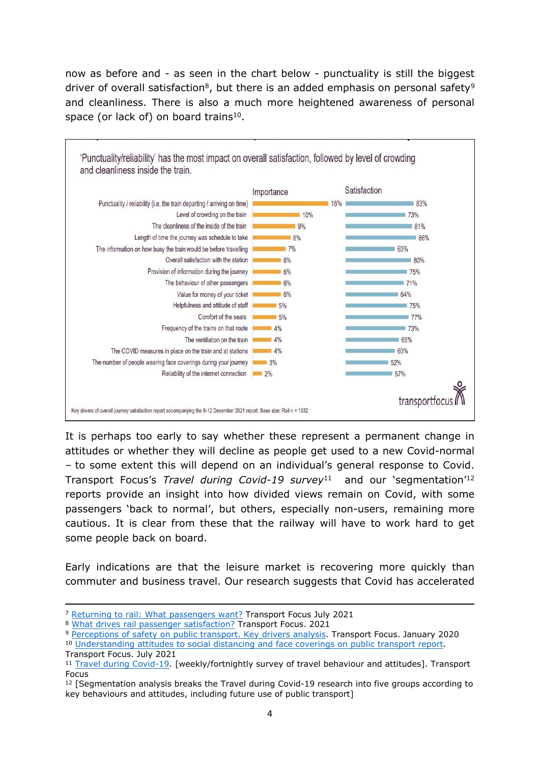now as before and - as seen in the chart below - punctuality is still the biggest driver of overall satisfaction<sup>8</sup>, but there is an added emphasis on personal safety<sup>9</sup> and cleanliness. There is also a much more heightened awareness of personal space (or lack of) on board trains<sup>10</sup>.



It is perhaps too early to say whether these represent a permanent change in attitudes or whether they will decline as people get used to a new Covid-normal – to some extent this will depend on an individual's general response to Covid. Transport Focus's *Travel during Covid-19 survey*<sup>11</sup> and our 'segmentation'<sup>12</sup> reports provide an insight into how divided views remain on Covid, with some passengers 'back to normal', but others, especially non-users, remaining more cautious. It is clear from these that the railway will have to work hard to get some people back on board.

Early indications are that the leisure market is recovering more quickly than commuter and business travel. Our research suggests that Covid has accelerated

<sup>7</sup> [Returning](https://www.transportfocus.org.uk/publication/return-to-rail-what-do-passengers-want/) [to](https://www.transportfocus.org.uk/publication/return-to-rail-what-do-passengers-want/) [rail:](https://www.transportfocus.org.uk/publication/return-to-rail-what-do-passengers-want/) [What](https://www.transportfocus.org.uk/publication/return-to-rail-what-do-passengers-want/) [passengers](https://www.transportfocus.org.uk/publication/return-to-rail-what-do-passengers-want/) [want?](https://www.transportfocus.org.uk/publication/return-to-rail-what-do-passengers-want/) Transport Focus July 2021

<sup>8</sup> [What](https://www.transportfocus.org.uk/publication/what-drives-rail-passenger-satisfaction/) [drives](https://www.transportfocus.org.uk/publication/what-drives-rail-passenger-satisfaction/) [rail](https://www.transportfocus.org.uk/publication/what-drives-rail-passenger-satisfaction/) [passenger](https://www.transportfocus.org.uk/publication/what-drives-rail-passenger-satisfaction/) [satisfaction?](https://www.transportfocus.org.uk/publication/what-drives-rail-passenger-satisfaction/) Transport Fo[c](https://www.transportfocus.org.uk/publication/perceptions-of-safety-on-public-transport-key-drivers-analysis/)us. 2021

<sup>9</sup> [Perceptions](https://www.transportfocus.org.uk/publication/perceptions-of-safety-on-public-transport-key-drivers-analysis/) [of](https://www.transportfocus.org.uk/publication/perceptions-of-safety-on-public-transport-key-drivers-analysis/) [safety](https://www.transportfocus.org.uk/publication/perceptions-of-safety-on-public-transport-key-drivers-analysis/) [on](https://www.transportfocus.org.uk/publication/perceptions-of-safety-on-public-transport-key-drivers-analysis/) [public](https://www.transportfocus.org.uk/publication/perceptions-of-safety-on-public-transport-key-drivers-analysis/) [transport.](https://www.transportfocus.org.uk/publication/perceptions-of-safety-on-public-transport-key-drivers-analysis/) [Key](https://www.transportfocus.org.uk/publication/perceptions-of-safety-on-public-transport-key-drivers-analysis/) [drivers](https://www.transportfocus.org.uk/publication/perceptions-of-safety-on-public-transport-key-drivers-analysis/) [analysis](https://www.transportfocus.org.uk/publication/perceptions-of-safety-on-public-transport-key-drivers-analysis/). [Tr](https://www.transportfocus.org.uk/publication/understanding-attitudes-to-social-distancing-and-face-coverings-on-public-transport-report/)ansport Focus. Ja[nu](https://www.transportfocus.org.uk/publication/understanding-attitudes-to-social-distancing-and-face-coverings-on-public-transport-report/)ary 2020

<sup>10</sup> [Understanding](https://www.transportfocus.org.uk/publication/understanding-attitudes-to-social-distancing-and-face-coverings-on-public-transport-report/) [attitudes](https://www.transportfocus.org.uk/publication/understanding-attitudes-to-social-distancing-and-face-coverings-on-public-transport-report/) [to](https://www.transportfocus.org.uk/publication/understanding-attitudes-to-social-distancing-and-face-coverings-on-public-transport-report/) [social](https://www.transportfocus.org.uk/publication/understanding-attitudes-to-social-distancing-and-face-coverings-on-public-transport-report/) [distancing](https://www.transportfocus.org.uk/publication/understanding-attitudes-to-social-distancing-and-face-coverings-on-public-transport-report/) [and](https://www.transportfocus.org.uk/publication/understanding-attitudes-to-social-distancing-and-face-coverings-on-public-transport-report/) [face](https://www.transportfocus.org.uk/publication/understanding-attitudes-to-social-distancing-and-face-coverings-on-public-transport-report/) [coverings](https://www.transportfocus.org.uk/publication/understanding-attitudes-to-social-distancing-and-face-coverings-on-public-transport-report/) [on](https://www.transportfocus.org.uk/publication/understanding-attitudes-to-social-distancing-and-face-coverings-on-public-transport-report/) [public](https://www.transportfocus.org.uk/publication/understanding-attitudes-to-social-distancing-and-face-coverings-on-public-transport-report/) [transport](https://www.transportfocus.org.uk/publication/understanding-attitudes-to-social-distancing-and-face-coverings-on-public-transport-report/) [report.](https://www.transportfocus.org.uk/publication/understanding-attitudes-to-social-distancing-and-face-coverings-on-public-transport-report/) Transport Focus. July 2021

<sup>11</sup> [Travel](https://www.transportfocus.org.uk/home/coronavirus-latest/coronavirus-insight/weekly-travel-surveys/) [during](https://www.transportfocus.org.uk/home/coronavirus-latest/coronavirus-insight/weekly-travel-surveys/) [Covid-19.](https://www.transportfocus.org.uk/home/coronavirus-latest/coronavirus-insight/weekly-travel-surveys/) [weekly/fortnightly survey of travel behaviour and attitudes]. Transport Focus

 $12$  [Segmentation analysis breaks the Travel during Covid-19 research into five groups according to key behaviours and attitudes, including future use of public transport]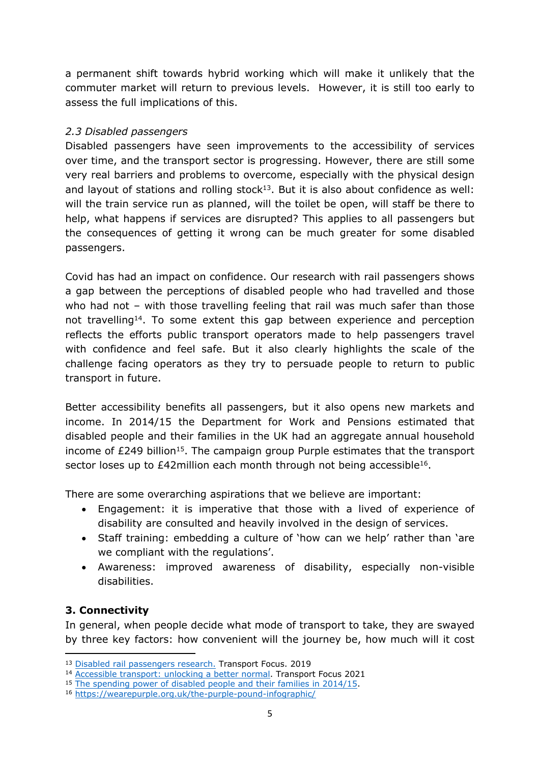a permanent shift towards hybrid working which will make it unlikely that the commuter market will return to previous levels. However, it is still too early to assess the full implications of this.

### *2.3 Disabled passengers*

Disabled passengers have seen improvements to the accessibility of services over time, and the transport sector is progressing. However, there are still some very real barriers and problems to overcome, especially with the physical design and layout of stations and rolling stock $13$ . But it is also about confidence as well: will the train service run as planned, will the toilet be open, will staff be there to help, what happens if services are disrupted? This applies to all passengers but the consequences of getting it wrong can be much greater for some disabled passengers.

Covid has had an impact on confidence. Our research with rail passengers shows a gap between the perceptions of disabled people who had travelled and those who had not – with those travelling feeling that rail was much safer than those not travelling<sup>14</sup>. To some extent this gap between experience and perception reflects the efforts public transport operators made to help passengers travel with confidence and feel safe. But it also clearly highlights the scale of the challenge facing operators as they try to persuade people to return to public transport in future.

Better accessibility benefits all passengers, but it also opens new markets and income. In 2014/15 the Department for Work and Pensions estimated that disabled people and their families in the UK had an aggregate annual household income of £249 billion<sup>15</sup>. The campaign group Purple estimates that the transport sector loses up to £42million each month through not being accessible<sup>16</sup>.

There are some overarching aspirations that we believe are important:

- Engagement: it is imperative that those with a lived of experience of disability are consulted and heavily involved in the design of services.
- Staff training: embedding a culture of 'how can we help' rather than 'are we compliant with the regulations'.
- Awareness: improved awareness of disability, especially non-visible disabilities.

### **3. Connectivity**

In general, when people decide what mode of transport to take, they are swayed by three key factors: how convenient will the journey be, how much will it cost

<sup>13</sup> [Disabled](https://www.transportfocus.org.uk/publication/disabled-rail-passengers-research/) [rail](https://www.transportfocus.org.uk/publication/disabled-rail-passengers-research/) [passengers](https://www.transportfocus.org.uk/publication/disabled-rail-passengers-research/) [research.](https://www.transportfocus.org.uk/publication/disabled-rail-passengers-research/) Transport Focus. 2019

<sup>&</sup>lt;sup>14</sup> [Accessible](https://www.transportfocus.org.uk/publication/accessible-transport-unlocking-a-better-normal-2/) [transport:](https://www.transportfocus.org.uk/publication/accessible-transport-unlocking-a-better-normal-2/) [unlocking](https://www.transportfocus.org.uk/publication/accessible-transport-unlocking-a-better-normal-2/) [a](https://www.transportfocus.org.uk/publication/accessible-transport-unlocking-a-better-normal-2/) [better](https://www.transportfocus.org.uk/publication/accessible-transport-unlocking-a-better-normal-2/) [normal.](https://www.transportfocus.org.uk/publication/accessible-transport-unlocking-a-better-normal-2/) Transport Focus 2021

<sup>&</sup>lt;sup>15</sup> [The](https://assets.publishing.service.gov.uk/government/uploads/system/uploads/attachment_data/file/572187/spending-power-of-disabled-people-and-their-families-2014-15.pdf) [spending](https://assets.publishing.service.gov.uk/government/uploads/system/uploads/attachment_data/file/572187/spending-power-of-disabled-people-and-their-families-2014-15.pdf) [power](https://assets.publishing.service.gov.uk/government/uploads/system/uploads/attachment_data/file/572187/spending-power-of-disabled-people-and-their-families-2014-15.pdf) [of](https://assets.publishing.service.gov.uk/government/uploads/system/uploads/attachment_data/file/572187/spending-power-of-disabled-people-and-their-families-2014-15.pdf) [disabled](https://assets.publishing.service.gov.uk/government/uploads/system/uploads/attachment_data/file/572187/spending-power-of-disabled-people-and-their-families-2014-15.pdf) [people](https://assets.publishing.service.gov.uk/government/uploads/system/uploads/attachment_data/file/572187/spending-power-of-disabled-people-and-their-families-2014-15.pdf) [and](https://assets.publishing.service.gov.uk/government/uploads/system/uploads/attachment_data/file/572187/spending-power-of-disabled-people-and-their-families-2014-15.pdf) [their](https://assets.publishing.service.gov.uk/government/uploads/system/uploads/attachment_data/file/572187/spending-power-of-disabled-people-and-their-families-2014-15.pdf) [families](https://assets.publishing.service.gov.uk/government/uploads/system/uploads/attachment_data/file/572187/spending-power-of-disabled-people-and-their-families-2014-15.pdf) [in](https://assets.publishing.service.gov.uk/government/uploads/system/uploads/attachment_data/file/572187/spending-power-of-disabled-people-and-their-families-2014-15.pdf) [2014/15](https://assets.publishing.service.gov.uk/government/uploads/system/uploads/attachment_data/file/572187/spending-power-of-disabled-people-and-their-families-2014-15.pdf).

<sup>16</sup> <https://wearepurple.org.uk/the-purple-pound-infographic/>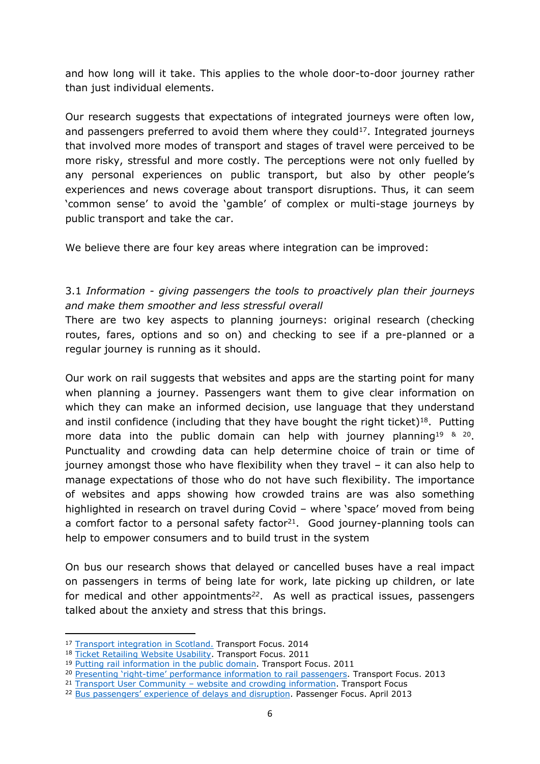and how long will it take. This applies to the whole door-to-door journey rather than just individual elements.

Our research suggests that expectations of integrated journeys were often low, and passengers preferred to avoid them where they could<sup>17</sup>. Integrated journeys that involved more modes of transport and stages of travel were perceived to be more risky, stressful and more costly. The perceptions were not only fuelled by any personal experiences on public transport, but also by other people's experiences and news coverage about transport disruptions. Thus, it can seem 'common sense' to avoid the 'gamble' of complex or multi-stage journeys by public transport and take the car.

We believe there are four key areas where integration can be improved:

# 3.1 *Information - giving passengers the tools to proactively plan their journeys and make them smoother and less stressful overall*

There are two key aspects to planning journeys: original research (checking routes, fares, options and so on) and checking to see if a pre-planned or a regular journey is running as it should.

Our work on rail suggests that websites and apps are the starting point for many when planning a journey. Passengers want them to give clear information on which they can make an informed decision, use language that they understand and instil confidence (including that they have bought the right ticket)<sup>18</sup>. Putting more data into the public domain can help with journey planning<sup>19 & 20</sup>. Punctuality and crowding data can help determine choice of train or time of journey amongst those who have flexibility when they travel – it can also help to manage expectations of those who do not have such flexibility. The importance of websites and apps showing how crowded trains are was also something highlighted in research on travel during Covid – where 'space' moved from being a comfort factor to a personal safety factor<sup>21</sup>. Good journey-planning tools can help to empower consumers and to build trust in the system

On bus our research shows that delayed or cancelled buses have a real impact on passengers in terms of being late for work, late picking up children, or late for medical and other appointments*<sup>22</sup>*. As well as practical issues, passengers talked about the anxiety and stress that this brings.

<sup>&</sup>lt;sup>17</sup> [Transport](file:///C://Users/mike.hewitson/Downloads/Transport%2520integration%2520in%2520Scotland%2520-%2520June%25202014%2520-%2520FINAL%2520(5).pdf) [integration](file:///C://Users/mike.hewitson/Downloads/Transport%2520integration%2520in%2520Scotland%2520-%2520June%25202014%2520-%2520FINAL%2520(5).pdf) [in](file:///C://Users/mike.hewitson/Downloads/Transport%2520integration%2520in%2520Scotland%2520-%2520June%25202014%2520-%2520FINAL%2520(5).pdf) [Scotland.](file:///C://Users/mike.hewitson/Downloads/Transport%2520integration%2520in%2520Scotland%2520-%2520June%25202014%2520-%2520FINAL%2520(5).pdf) Transport Focus, 2014

<sup>18</sup> [Ticket](https://www.transportfocus.org.uk/publication/ticket-retailing-website-usability/) [Retailing](https://www.transportfocus.org.uk/publication/ticket-retailing-website-usability/) [Website](https://www.transportfocus.org.uk/publication/ticket-retailing-website-usability/) [Usability.](https://www.transportfocus.org.uk/publication/ticket-retailing-website-usability/) Transport Focus. 2011

<sup>19</sup> [Putting](https://www.transportfocus.org.uk/publication/putting-rail-information-in-the-public-domain/) [rail](https://www.transportfocus.org.uk/publication/putting-rail-information-in-the-public-domain/) [information](https://www.transportfocus.org.uk/publication/putting-rail-information-in-the-public-domain/) [in](https://www.transportfocus.org.uk/publication/putting-rail-information-in-the-public-domain/) [the](https://www.transportfocus.org.uk/publication/putting-rail-information-in-the-public-domain/) [public](https://www.transportfocus.org.uk/publication/putting-rail-information-in-the-public-domain/) [domain.](https://www.transportfocus.org.uk/publication/putting-rail-information-in-the-public-domain/) Transport Focus. 2011

<sup>&</sup>lt;sup>20</sup> [Presenting](https://www.transportfocus.org.uk/publication/putting-rail-information-in-the-public-domain/) ['right-time'](https://www.transportfocus.org.uk/publication/putting-rail-information-in-the-public-domain/) [performance](https://www.transportfocus.org.uk/publication/putting-rail-information-in-the-public-domain/) [information](https://www.transportfocus.org.uk/publication/putting-rail-information-in-the-public-domain/) [to](https://www.transportfocus.org.uk/publication/putting-rail-information-in-the-public-domain/) [rail](https://www.transportfocus.org.uk/publication/putting-rail-information-in-the-public-domain/) [passengers.](https://www.transportfocus.org.uk/publication/putting-rail-information-in-the-public-domain/) Transport Focus. 2013

<sup>21</sup> [Transport](https://www.transportfocus.org.uk/publication/transport-user-community-website-and-crowding-information/) [User](https://www.transportfocus.org.uk/publication/transport-user-community-website-and-crowding-information/) [Community](https://www.transportfocus.org.uk/publication/transport-user-community-website-and-crowding-information/) [–](https://www.transportfocus.org.uk/publication/transport-user-community-website-and-crowding-information/) [website](https://www.transportfocus.org.uk/publication/transport-user-community-website-and-crowding-information/) [and](https://www.transportfocus.org.uk/publication/transport-user-community-website-and-crowding-information/) [crowding](https://www.transportfocus.org.uk/publication/transport-user-community-website-and-crowding-information/) [information.](https://www.transportfocus.org.uk/publication/transport-user-community-website-and-crowding-information/) Transport Focus

<sup>22</sup> [Bus](http://www.passengerfocus.org.uk/research/publications/bus-passengers-experience-of-delays-and-disruption-research-report-april-2013) [passengers'](http://www.passengerfocus.org.uk/research/publications/bus-passengers-experience-of-delays-and-disruption-research-report-april-2013) [experience](http://www.passengerfocus.org.uk/research/publications/bus-passengers-experience-of-delays-and-disruption-research-report-april-2013) [of](http://www.passengerfocus.org.uk/research/publications/bus-passengers-experience-of-delays-and-disruption-research-report-april-2013) [delays](http://www.passengerfocus.org.uk/research/publications/bus-passengers-experience-of-delays-and-disruption-research-report-april-2013) [and](http://www.passengerfocus.org.uk/research/publications/bus-passengers-experience-of-delays-and-disruption-research-report-april-2013) [disruption.](http://www.passengerfocus.org.uk/research/publications/bus-passengers-experience-of-delays-and-disruption-research-report-april-2013) Passenger Focus. April 2013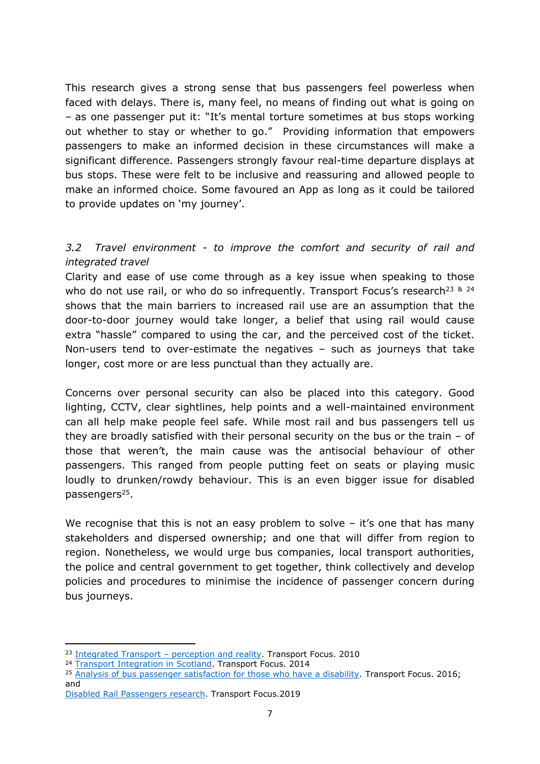This research gives a strong sense that bus passengers feel powerless when faced with delays. There is, many feel, no means of finding out what is going on – as one passenger put it: "It's mental torture sometimes at bus stops working out whether to stay or whether to go." Providing information that empowers passengers to make an informed decision in these circumstances will make a significant difference. Passengers strongly favour real-time departure displays at bus stops. These were felt to be inclusive and reassuring and allowed people to make an informed choice. Some favoured an App as long as it could be tailored to provide updates on 'my journey'.

# *3.2 Travel environment - to improve the comfort and security of rail and integrated travel*

Clarity and ease of use come through as a key issue when speaking to those who do not use rail, or who do so infrequently. Transport Focus's research<sup>23 & 24</sup> shows that the main barriers to increased rail use are an assumption that the door-to-door journey would take longer, a belief that using rail would cause extra "hassle" compared to using the car, and the perceived cost of the ticket. Non-users tend to over-estimate the negatives – such as journeys that take longer, cost more or are less punctual than they actually are.

Concerns over personal security can also be placed into this category. Good lighting, CCTV, clear sightlines, help points and a well-maintained environment can all help make people feel safe. While most rail and bus passengers tell us they are broadly satisfied with their personal security on the bus or the train – of those that weren't, the main cause was the antisocial behaviour of other passengers. This ranged from people putting feet on seats or playing music loudly to drunken/rowdy behaviour. This is an even bigger issue for disabled passengers<sup>25</sup>.

We recognise that this is not an easy problem to solve  $-$  it's one that has many stakeholders and dispersed ownership; and one that will differ from region to region. Nonetheless, we would urge bus companies, local transport authorities, the police and central government to get together, think collectively and develop policies and procedures to minimise the incidence of passenger concern during bus journeys.

[Disabled](https://www.transportfocus.org.uk/publication/disabled-rail-passengers-research/) [Rail](https://www.transportfocus.org.uk/publication/disabled-rail-passengers-research/) [Passengers](https://www.transportfocus.org.uk/publication/disabled-rail-passengers-research/) [research](https://www.transportfocus.org.uk/publication/disabled-rail-passengers-research/). Transport Focus.2019

<sup>23</sup> [Integrated](https://www.transportfocus.org.uk/publication/integrated-transport-perception-and-reality/) [Transport](https://www.transportfocus.org.uk/publication/integrated-transport-perception-and-reality/) [–](https://www.transportfocus.org.uk/publication/integrated-transport-perception-and-reality/) [perception](https://www.transportfocus.org.uk/publication/integrated-transport-perception-and-reality/) [and](https://www.transportfocus.org.uk/publication/integrated-transport-perception-and-reality/) [reality](https://www.transportfocus.org.uk/publication/integrated-transport-perception-and-reality/). Transport Focus. 2010

<sup>&</sup>lt;sup>24</sup> [Transport](https://www.transportfocus.org.uk/publication/transport-integration-in-scotland/) [Integration](https://www.transportfocus.org.uk/publication/transport-integration-in-scotland/) [in](https://www.transportfocus.org.uk/publication/transport-integration-in-scotland/) [Scotland.](https://www.transportfocus.org.uk/publication/transport-integration-in-scotland/) Transport Focus. 2014

<sup>&</sup>lt;sup>25</sup> [Analysis](http://d3cez36w5wymxj.cloudfront.net/wp-content/uploads/2016/07/05175125/Analysis-of-bus-passenger-satisfaction-for-those-who-have-a-disability.pdf) [of](http://d3cez36w5wymxj.cloudfront.net/wp-content/uploads/2016/07/05175125/Analysis-of-bus-passenger-satisfaction-for-those-who-have-a-disability.pdf) [bus](http://d3cez36w5wymxj.cloudfront.net/wp-content/uploads/2016/07/05175125/Analysis-of-bus-passenger-satisfaction-for-those-who-have-a-disability.pdf) [passenger](http://d3cez36w5wymxj.cloudfront.net/wp-content/uploads/2016/07/05175125/Analysis-of-bus-passenger-satisfaction-for-those-who-have-a-disability.pdf) [satisfaction](http://d3cez36w5wymxj.cloudfront.net/wp-content/uploads/2016/07/05175125/Analysis-of-bus-passenger-satisfaction-for-those-who-have-a-disability.pdf) [for](http://d3cez36w5wymxj.cloudfront.net/wp-content/uploads/2016/07/05175125/Analysis-of-bus-passenger-satisfaction-for-those-who-have-a-disability.pdf) [those](http://d3cez36w5wymxj.cloudfront.net/wp-content/uploads/2016/07/05175125/Analysis-of-bus-passenger-satisfaction-for-those-who-have-a-disability.pdf) [who](http://d3cez36w5wymxj.cloudfront.net/wp-content/uploads/2016/07/05175125/Analysis-of-bus-passenger-satisfaction-for-those-who-have-a-disability.pdf) [have](http://d3cez36w5wymxj.cloudfront.net/wp-content/uploads/2016/07/05175125/Analysis-of-bus-passenger-satisfaction-for-those-who-have-a-disability.pdf) [a](http://d3cez36w5wymxj.cloudfront.net/wp-content/uploads/2016/07/05175125/Analysis-of-bus-passenger-satisfaction-for-those-who-have-a-disability.pdf) [disability](http://d3cez36w5wymxj.cloudfront.net/wp-content/uploads/2016/07/05175125/Analysis-of-bus-passenger-satisfaction-for-those-who-have-a-disability.pdf). Transport Focus. 2016; and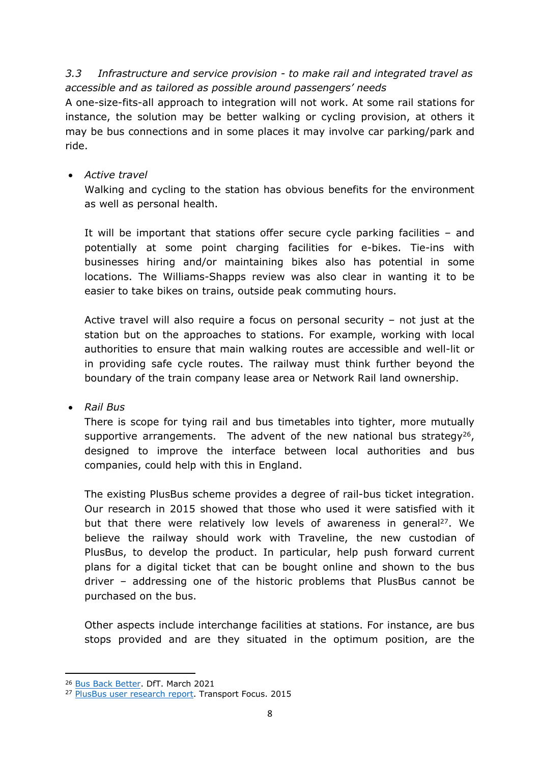# *3.3 Infrastructure and service provision - to make rail and integrated travel as accessible and as tailored as possible around passengers' needs*

A one-size-fits-all approach to integration will not work. At some rail stations for instance, the solution may be better walking or cycling provision, at others it may be bus connections and in some places it may involve car parking/park and ride.

*Active travel*

Walking and cycling to the station has obvious benefits for the environment as well as personal health.

It will be important that stations offer secure cycle parking facilities – and potentially at some point charging facilities for e-bikes. Tie-ins with businesses hiring and/or maintaining bikes also has potential in some locations. The Williams-Shapps review was also clear in wanting it to be easier to take bikes on trains, outside peak commuting hours.

Active travel will also require a focus on personal security – not just at the station but on the approaches to stations. For example, working with local authorities to ensure that main walking routes are accessible and well-lit or in providing safe cycle routes. The railway must think further beyond the boundary of the train company lease area or Network Rail land ownership.

*Rail Bus*

There is scope for tying rail and bus timetables into tighter, more mutually supportive arrangements. The advent of the new national bus strategy<sup>26</sup>, designed to improve the interface between local authorities and bus companies, could help with this in England.

The existing PlusBus scheme provides a degree of rail-bus ticket integration. Our research in 2015 showed that those who used it were satisfied with it but that there were relatively low levels of awareness in general<sup>27</sup>. We believe the railway should work with Traveline, the new custodian of PlusBus, to develop the product. In particular, help push forward current plans for a digital ticket that can be bought online and shown to the bus driver – addressing one of the historic problems that PlusBus cannot be purchased on the bus.

Other aspects include interchange facilities at stations. For instance, are bus stops provided and are they situated in the optimum position, are the

<sup>&</sup>lt;sup>26</sup> [Bus](https://www.gov.uk/government/publications/bus-back-better) [Back](https://www.gov.uk/government/publications/bus-back-better) [Better](https://www.gov.uk/government/publications/bus-back-better). DfT. March 2021

<sup>27</sup> [PlusBus](https://www.transportfocus.org.uk/publication/plusbus-user-research-report/) [user](https://www.transportfocus.org.uk/publication/plusbus-user-research-report/) [research](https://www.transportfocus.org.uk/publication/plusbus-user-research-report/) [report](https://www.transportfocus.org.uk/publication/plusbus-user-research-report/). Transport Focus. 2015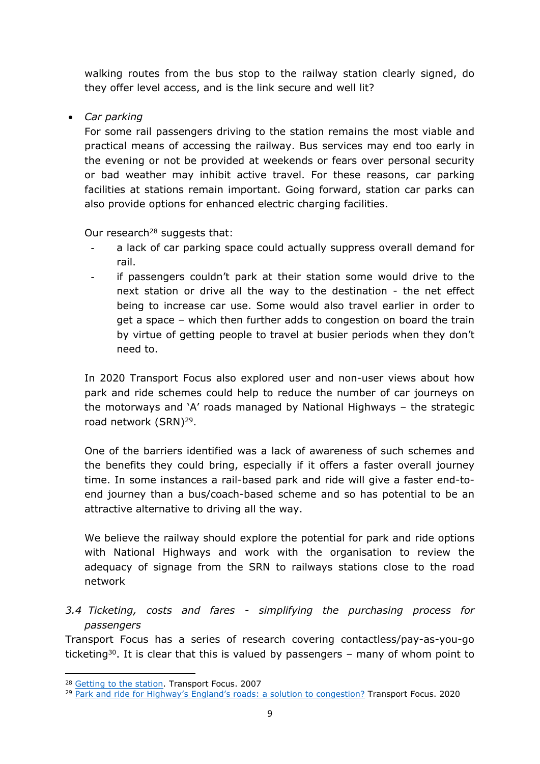walking routes from the bus stop to the railway station clearly signed, do they offer level access, and is the link secure and well lit?

*Car parking*

For some rail passengers driving to the station remains the most viable and practical means of accessing the railway. Bus services may end too early in the evening or not be provided at weekends or fears over personal security or bad weather may inhibit active travel. For these reasons, car parking facilities at stations remain important. Going forward, station car parks can also provide options for enhanced electric charging facilities.

Our research<sup>28</sup> suggests that:

- a lack of car parking space could actually suppress overall demand for rail.
- if passengers couldn't park at their station some would drive to the next station or drive all the way to the destination - the net effect being to increase car use. Some would also travel earlier in order to get a space – which then further adds to congestion on board the train by virtue of getting people to travel at busier periods when they don't need to.

In 2020 Transport Focus also explored user and non-user views about how park and ride schemes could help to reduce the number of car journeys on the motorways and 'A' roads managed by National Highways – the strategic road network (SRN)<sup>29</sup>.

One of the barriers identified was a lack of awareness of such schemes and the benefits they could bring, especially if it offers a faster overall journey time. In some instances a rail-based park and ride will give a faster end-toend journey than a bus/coach-based scheme and so has potential to be an attractive alternative to driving all the way.

We believe the railway should explore the potential for park and ride options with National Highways and work with the organisation to review the adequacy of signage from the SRN to railways stations close to the road network

### *3.4 Ticketing, costs and fares - simplifying the purchasing process for passengers*

Transport Focus has a series of research covering contactless/pay-as-you-go ticketing<sup>30</sup>. It is clear that this is valued by passengers  $-$  many of whom point to

<sup>&</sup>lt;sup>28</sup> [Getting](https://www.transportfocus.org.uk/publication/getting-to-the-station-summary-of-research-conducted-in-the-east-of-england/) [to](https://www.transportfocus.org.uk/publication/getting-to-the-station-summary-of-research-conducted-in-the-east-of-england/) [the](https://www.transportfocus.org.uk/publication/getting-to-the-station-summary-of-research-conducted-in-the-east-of-england/) [station.](https://www.transportfocus.org.uk/publication/getting-to-the-station-summary-of-research-conducted-in-the-east-of-england/) Transport Focus. 2007

<sup>&</sup>lt;sup>29</sup> [Park](https://www.transportfocus.org.uk/publication/park-and-ride-for-highways-englands-roads-a-solution-to-congestion/) [and](https://www.transportfocus.org.uk/publication/park-and-ride-for-highways-englands-roads-a-solution-to-congestion/) [ride](https://www.transportfocus.org.uk/publication/park-and-ride-for-highways-englands-roads-a-solution-to-congestion/) [for](https://www.transportfocus.org.uk/publication/park-and-ride-for-highways-englands-roads-a-solution-to-congestion/) [Highway's](https://www.transportfocus.org.uk/publication/park-and-ride-for-highways-englands-roads-a-solution-to-congestion/) [England's](https://www.transportfocus.org.uk/publication/park-and-ride-for-highways-englands-roads-a-solution-to-congestion/) [roads:](https://www.transportfocus.org.uk/publication/park-and-ride-for-highways-englands-roads-a-solution-to-congestion/) [a](https://www.transportfocus.org.uk/publication/park-and-ride-for-highways-englands-roads-a-solution-to-congestion/) [solution](https://www.transportfocus.org.uk/publication/park-and-ride-for-highways-englands-roads-a-solution-to-congestion/) [to](https://www.transportfocus.org.uk/publication/park-and-ride-for-highways-englands-roads-a-solution-to-congestion/) [congestion?](https://www.transportfocus.org.uk/publication/park-and-ride-for-highways-englands-roads-a-solution-to-congestion/) Transport Focus. 2020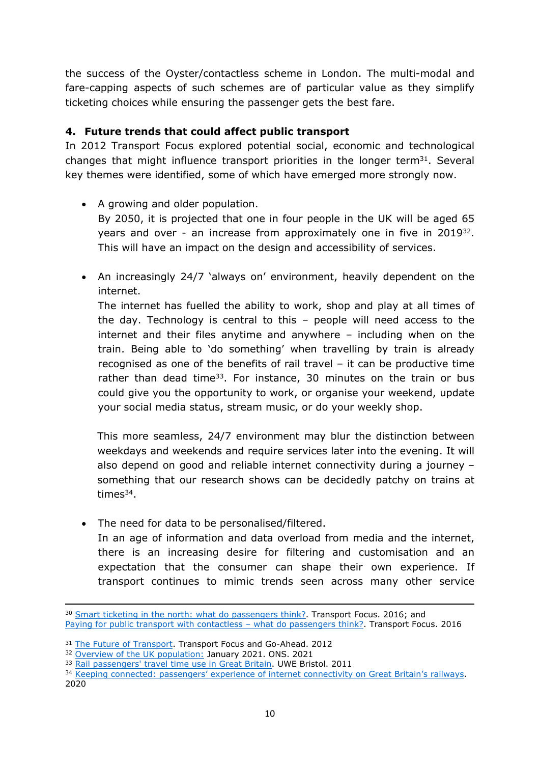the success of the Oyster/contactless scheme in London. The multi-modal and fare-capping aspects of such schemes are of particular value as they simplify ticketing choices while ensuring the passenger gets the best fare.

## **4. Future trends that could affect public transport**

In 2012 Transport Focus explored potential social, economic and technological changes that might influence transport priorities in the longer term<sup>31</sup>. Several key themes were identified, some of which have emerged more strongly now.

- A growing and older population. By 2050, it is projected that one in four people in the UK will be aged 65 years and over - an increase from approximately one in five in 2019<sup>32</sup>. This will have an impact on the design and accessibility of services.
- An increasingly 24/7 'always on' environment, heavily dependent on the internet.

The internet has fuelled the ability to work, shop and play at all times of the day. Technology is central to this – people will need access to the internet and their files anytime and anywhere – including when on the train. Being able to 'do something' when travelling by train is already recognised as one of the benefits of rail travel – it can be productive time rather than dead time<sup>33</sup>. For instance, 30 minutes on the train or bus could give you the opportunity to work, or organise your weekend, update your social media status, stream music, or do your weekly shop.

This more seamless, 24/7 environment may blur the distinction between weekdays and weekends and require services later into the evening. It will also depend on good and reliable internet connectivity during a journey – something that our research shows can be decidedly patchy on trains at times<sup>34</sup>.

• The need for data to be personalised/filtered. In an age of information and data overload from media and the internet, there is an increasing desire for filtering and customisation and an expectation that the consumer can shape their own experience. If transport continues to mimic trends seen across many other service

<sup>&</sup>lt;sup>30</sup> [Smart](https://www.transportfocus.org.uk/publication/smart-ticketing-in-the-north/) [ticketing](https://www.transportfocus.org.uk/publication/smart-ticketing-in-the-north/) [in](https://www.transportfocus.org.uk/publication/smart-ticketing-in-the-north/) [the](https://www.transportfocus.org.uk/publication/smart-ticketing-in-the-north/) [north:](https://www.transportfocus.org.uk/publication/smart-ticketing-in-the-north/) [what](https://www.transportfocus.org.uk/publication/smart-ticketing-in-the-north/) [do](https://www.transportfocus.org.uk/publication/smart-ticketing-in-the-north/) [passengers](https://www.transportfocus.org.uk/publication/smart-ticketing-in-the-north/) [think?](https://www.transportfocus.org.uk/publication/smart-ticketing-in-the-north/). Trans[p](https://www.transportfocus.org.uk/publication/paying-for-public-transport-with-contactless/)ort Focus. 2016; and [Paying](https://www.transportfocus.org.uk/publication/paying-for-public-transport-with-contactless/) [for](https://www.transportfocus.org.uk/publication/paying-for-public-transport-with-contactless/) [public](https://www.transportfocus.org.uk/publication/paying-for-public-transport-with-contactless/) [transport](https://www.transportfocus.org.uk/publication/paying-for-public-transport-with-contactless/) [with](https://www.transportfocus.org.uk/publication/paying-for-public-transport-with-contactless/) [contactless](https://www.transportfocus.org.uk/publication/paying-for-public-transport-with-contactless/) [–](https://www.transportfocus.org.uk/publication/paying-for-public-transport-with-contactless/) [what](https://www.transportfocus.org.uk/publication/paying-for-public-transport-with-contactless/) [do](https://www.transportfocus.org.uk/publication/paying-for-public-transport-with-contactless/) [passengers](https://www.transportfocus.org.uk/publication/paying-for-public-transport-with-contactless/) [think?.](https://www.transportfocus.org.uk/publication/paying-for-public-transport-with-contactless/) Transport Focus. 2016

<sup>&</sup>lt;sup>31</sup> [The](https://www.transportfocus.org.uk/publication/the-future-of-transport-overview/) [Future](https://www.transportfocus.org.uk/publication/the-future-of-transport-overview/) [of](https://www.transportfocus.org.uk/publication/the-future-of-transport-overview/) [Transport](https://www.transportfocus.org.uk/publication/the-future-of-transport-overview/). Transport Focus and Go-Ahead. 2012

<sup>32</sup> [Overview](https://www.ons.gov.uk/peoplepopulationandcommunity/populationandmigration/populationestimates/articles/overviewoftheukpopulation/january2021#the-uks-population-is-ageing) [of](https://www.ons.gov.uk/peoplepopulationandcommunity/populationandmigration/populationestimates/articles/overviewoftheukpopulation/january2021#the-uks-population-is-ageing) [the](https://www.ons.gov.uk/peoplepopulationandcommunity/populationandmigration/populationestimates/articles/overviewoftheukpopulation/january2021#the-uks-population-is-ageing) [UK](https://www.ons.gov.uk/peoplepopulationandcommunity/populationandmigration/populationestimates/articles/overviewoftheukpopulation/january2021#the-uks-population-is-ageing) [population:](https://www.ons.gov.uk/peoplepopulationandcommunity/populationandmigration/populationestimates/articles/overviewoftheukpopulation/january2021#the-uks-population-is-ageing) January 2021. ONS. 2021

<sup>33</sup> [Rail](https://www.uwe.ac.uk/research/centres-and-groups/cts/research-themes/the-travel-environment/rail-passengers-travel-time-use-in-great-britain) [passengers'](https://www.uwe.ac.uk/research/centres-and-groups/cts/research-themes/the-travel-environment/rail-passengers-travel-time-use-in-great-britain) [travel](https://www.uwe.ac.uk/research/centres-and-groups/cts/research-themes/the-travel-environment/rail-passengers-travel-time-use-in-great-britain) [time](https://www.uwe.ac.uk/research/centres-and-groups/cts/research-themes/the-travel-environment/rail-passengers-travel-time-use-in-great-britain) [use](https://www.uwe.ac.uk/research/centres-and-groups/cts/research-themes/the-travel-environment/rail-passengers-travel-time-use-in-great-britain) [in](https://www.uwe.ac.uk/research/centres-and-groups/cts/research-themes/the-travel-environment/rail-passengers-travel-time-use-in-great-britain) [Great](https://www.uwe.ac.uk/research/centres-and-groups/cts/research-themes/the-travel-environment/rail-passengers-travel-time-use-in-great-britain) [Britain.](https://www.uwe.ac.uk/research/centres-and-groups/cts/research-themes/the-travel-environment/rail-passengers-travel-time-use-in-great-britain) UWE Bristol. 2011

<sup>&</sup>lt;sup>34</sup> [Keeping](https://www.transportfocus.org.uk/publication/keeping-connected-passengers-experience-of-internet-connectivity-on-great-britains-railways/) [connected:](https://www.transportfocus.org.uk/publication/keeping-connected-passengers-experience-of-internet-connectivity-on-great-britains-railways/) [passengers'](https://www.transportfocus.org.uk/publication/keeping-connected-passengers-experience-of-internet-connectivity-on-great-britains-railways/) [experience](https://www.transportfocus.org.uk/publication/keeping-connected-passengers-experience-of-internet-connectivity-on-great-britains-railways/) [of](https://www.transportfocus.org.uk/publication/keeping-connected-passengers-experience-of-internet-connectivity-on-great-britains-railways/) [internet](https://www.transportfocus.org.uk/publication/keeping-connected-passengers-experience-of-internet-connectivity-on-great-britains-railways/) [connectivity](https://www.transportfocus.org.uk/publication/keeping-connected-passengers-experience-of-internet-connectivity-on-great-britains-railways/) [on](https://www.transportfocus.org.uk/publication/keeping-connected-passengers-experience-of-internet-connectivity-on-great-britains-railways/) [Great](https://www.transportfocus.org.uk/publication/keeping-connected-passengers-experience-of-internet-connectivity-on-great-britains-railways/) [Britain's](https://www.transportfocus.org.uk/publication/keeping-connected-passengers-experience-of-internet-connectivity-on-great-britains-railways/) [railways.](https://www.transportfocus.org.uk/publication/keeping-connected-passengers-experience-of-internet-connectivity-on-great-britains-railways/)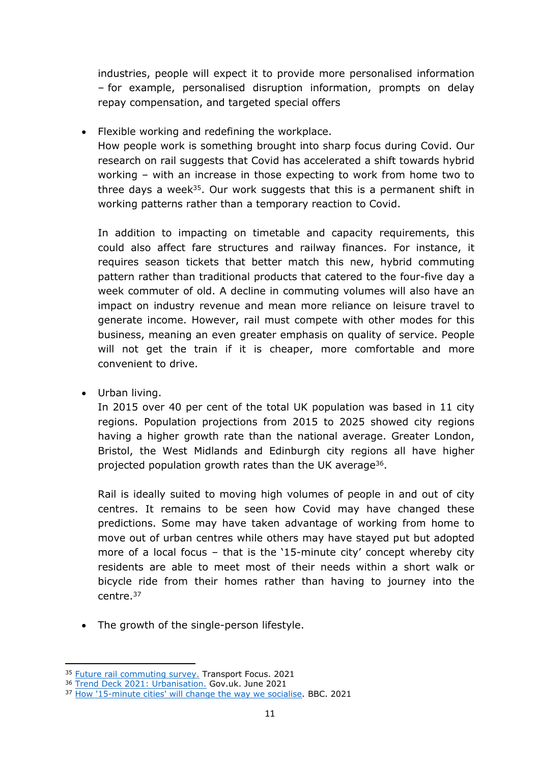industries, people will expect it to provide more personalised information – for example, personalised disruption information, prompts on delay repay compensation, and targeted special offers

• Flexible working and redefining the workplace. How people work is something brought into sharp focus during Covid. Our research on rail suggests that Covid has accelerated a shift towards hybrid working – with an increase in those expecting to work from home two to three days a week<sup>35</sup>. Our work suggests that this is a permanent shift in working patterns rather than a temporary reaction to Covid.

In addition to impacting on timetable and capacity requirements, this could also affect fare structures and railway finances. For instance, it requires season tickets that better match this new, hybrid commuting pattern rather than traditional products that catered to the four-five day a week commuter of old. A decline in commuting volumes will also have an impact on industry revenue and mean more reliance on leisure travel to generate income. However, rail must compete with other modes for this business, meaning an even greater emphasis on quality of service. People will not get the train if it is cheaper, more comfortable and more convenient to drive.

Urban living.

In 2015 over 40 per cent of the total UK population was based in 11 city regions. Population projections from 2015 to 2025 showed city regions having a higher growth rate than the national average. Greater London, Bristol, the West Midlands and Edinburgh city regions all have higher projected population growth rates than the UK average<sup>36</sup>.

Rail is ideally suited to moving high volumes of people in and out of city centres. It remains to be seen how Covid may have changed these predictions. Some may have taken advantage of working from home to move out of urban centres while others may have stayed put but adopted more of a local focus – that is the '15-minute city' concept whereby city residents are able to meet most of their needs within a short walk or bicycle ride from their homes rather than having to journey into the centre.<sup>37</sup>

• The growth of the single-person lifestyle.

<sup>&</sup>lt;sup>35</sup> [Future](https://www.transportfocus.org.uk/publication/future-rail-commuting-survey/) [rail](https://www.transportfocus.org.uk/publication/future-rail-commuting-survey/) [commuting](https://www.transportfocus.org.uk/publication/future-rail-commuting-survey/) [survey.](https://www.transportfocus.org.uk/publication/future-rail-commuting-survey/) Transport Focus. 2021

<sup>36</sup> [Trend](https://www.gov.uk/government/publications/trend-deck-2021-urbanisation/trend-deck-2021-urbanisation) [Deck](https://www.gov.uk/government/publications/trend-deck-2021-urbanisation/trend-deck-2021-urbanisation) [2021:](https://www.gov.uk/government/publications/trend-deck-2021-urbanisation/trend-deck-2021-urbanisation) [Urbanisation.](https://www.gov.uk/government/publications/trend-deck-2021-urbanisation/trend-deck-2021-urbanisation) Gov.uk. June 2021

<sup>&</sup>lt;sup>37</sup> [How](https://www.bbc.com/worklife/article/20201214-how-15-minute-cities-will-change-the-way-we-socialise) ['15-minute](https://www.bbc.com/worklife/article/20201214-how-15-minute-cities-will-change-the-way-we-socialise) [cities'](https://www.bbc.com/worklife/article/20201214-how-15-minute-cities-will-change-the-way-we-socialise) [will](https://www.bbc.com/worklife/article/20201214-how-15-minute-cities-will-change-the-way-we-socialise) [change](https://www.bbc.com/worklife/article/20201214-how-15-minute-cities-will-change-the-way-we-socialise) [the](https://www.bbc.com/worklife/article/20201214-how-15-minute-cities-will-change-the-way-we-socialise) [way](https://www.bbc.com/worklife/article/20201214-how-15-minute-cities-will-change-the-way-we-socialise) [we](https://www.bbc.com/worklife/article/20201214-how-15-minute-cities-will-change-the-way-we-socialise) [socialise.](https://www.bbc.com/worklife/article/20201214-how-15-minute-cities-will-change-the-way-we-socialise) BBC. 2021